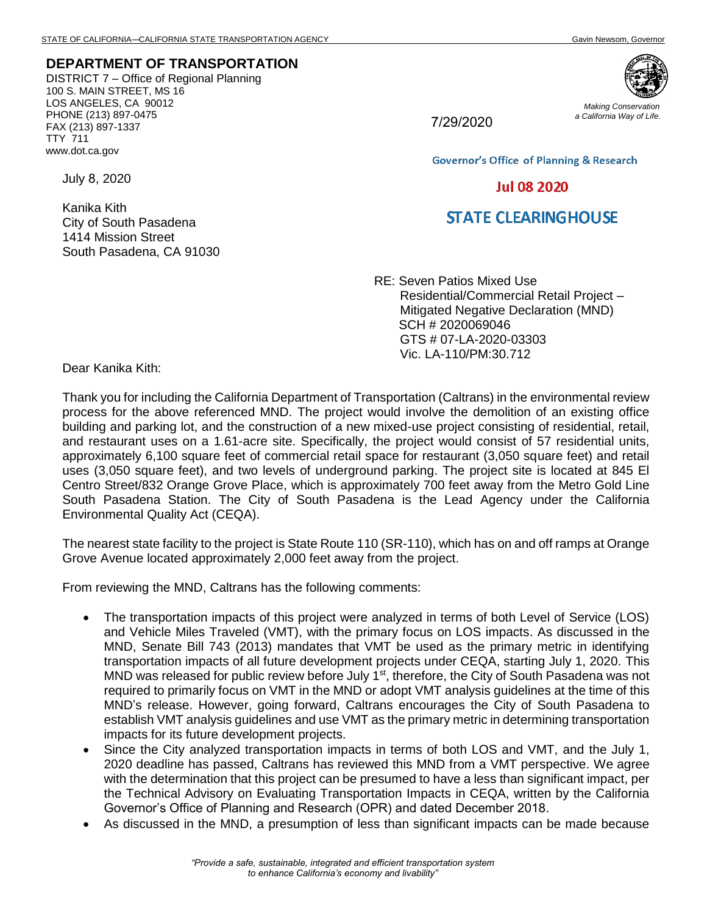## **DEPARTMENT OF TRANSPORTATION**

DISTRICT 7 – Office of Regional Planning 100 S. MAIN STREET, MS 16 LOS ANGELES, CA 90012 PHONE (213) 897-0475 FAX (213) 897-1337 TTY 711 www.dot.ca.gov

7/29/2020

*Making Conservation a California Way of Life.*

**Governor's Office of Planning & Research** 

## **Jul 08 2020**

## **STATE CLEARINGHOUSE**

RE: Seven Patios Mixed Use Residential/Commercial Retail Project – Mitigated Negative Declaration (MND) SCH # 2020069046 GTS # 07-LA-2020-03303 Vic. LA-110/PM:30.712

Dear Kanika Kith:

July 8, 2020

Kanika Kith

City of South Pasadena 1414 Mission Street

South Pasadena, CA 91030

Thank you for including the California Department of Transportation (Caltrans) in the environmental review process for the above referenced MND. The project would involve the demolition of an existing office building and parking lot, and the construction of a new mixed-use project consisting of residential, retail, and restaurant uses on a 1.61-acre site. Specifically, the project would consist of 57 residential units, approximately 6,100 square feet of commercial retail space for restaurant (3,050 square feet) and retail uses (3,050 square feet), and two levels of underground parking. The project site is located at 845 El Centro Street/832 Orange Grove Place, which is approximately 700 feet away from the Metro Gold Line South Pasadena Station. The City of South Pasadena is the Lead Agency under the California Environmental Quality Act (CEQA).

The nearest state facility to the project is State Route 110 (SR-110), which has on and off ramps at Orange Grove Avenue located approximately 2,000 feet away from the project.

From reviewing the MND, Caltrans has the following comments:

- The transportation impacts of this project were analyzed in terms of both Level of Service (LOS) and Vehicle Miles Traveled (VMT), with the primary focus on LOS impacts. As discussed in the MND, Senate Bill 743 (2013) mandates that VMT be used as the primary metric in identifying transportation impacts of all future development projects under CEQA, starting July 1, 2020. This MND was released for public review before July 1<sup>st</sup>, therefore, the City of South Pasadena was not required to primarily focus on VMT in the MND or adopt VMT analysis guidelines at the time of this MND's release. However, going forward, Caltrans encourages the City of South Pasadena to establish VMT analysis guidelines and use VMT as the primary metric in determining transportation impacts for its future development projects.
- Since the City analyzed transportation impacts in terms of both LOS and VMT, and the July 1, 2020 deadline has passed, Caltrans has reviewed this MND from a VMT perspective. We agree with the determination that this project can be presumed to have a less than significant impact, per the Technical Advisory on Evaluating Transportation Impacts in CEQA, written by the California Governor's Office of Planning and Research (OPR) and dated December 2018.
- As discussed in the MND, a presumption of less than significant impacts can be made because